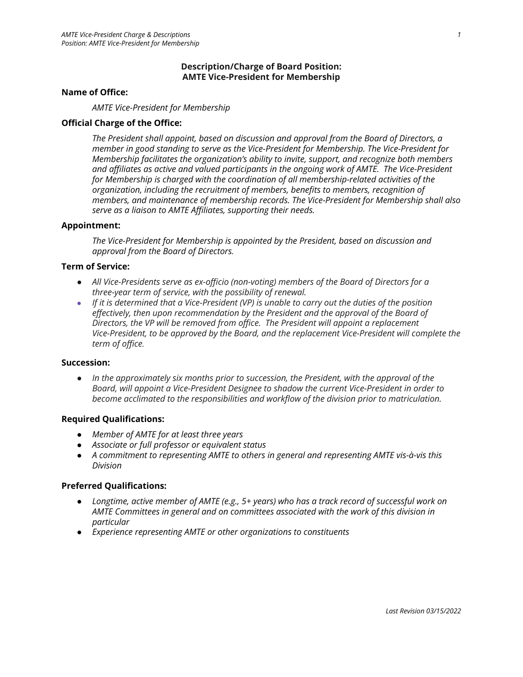## **Description/Charge of Board Position: AMTE Vice-President for Membership**

### **Name of Office:**

*AMTE Vice-President for Membership*

## **Official Charge of the Office:**

*The President shall appoint, based on discussion and approval from the Board of Directors, a member in good standing to serve as the Vice-President for Membership. The Vice-President for Membership facilitates the organization's ability to invite, support, and recognize both members and affiliates as active and valued participants in the ongoing work of AMTE. The Vice-President for Membership is charged with the coordination of all membership-related activities of the organization, including the recruitment of members, benefits to members, recognition of members, and maintenance of membership records. The Vice-President for Membership shall also serve as a liaison to AMTE Affiliates, supporting their needs.*

## **Appointment:**

*The Vice-President for Membership is appointed by the President, based on discussion and approval from the Board of Directors.*

### **Term of Service:**

- *● All Vice-Presidents serve as ex-officio (non-voting) members of the Board of Directors for a three-year term of service, with the possibility of renewal.*
- If it is determined that a Vice-President (VP) is unable to carry out the duties of the position *effectively, then upon recommendation by the President and the approval of the Board of Directors, the VP will be removed from office. The President will appoint a replacement Vice-President, to be approved by the Board, and the replacement Vice-President will complete the term of office.*

### **Succession:**

*● In the approximately six months prior to succession, the President, with the approval of the Board, will appoint a Vice-President Designee to shadow the current Vice-President in order to become acclimated to the responsibilities and workflow of the division prior to matriculation.*

### **Required Qualifications:**

- *● Member of AMTE for at least three years*
- *● Associate or full professor or equivalent status*
- *● A commitment to representing AMTE to others in general and representing AMTE vis-à-vis this Division*

### **Preferred Qualifications:**

- *● Longtime, active member of AMTE (e.g., 5+ years) who has a track record of successful work on AMTE Committees in general and on committees associated with the work of this division in particular*
- *● Experience representing AMTE or other organizations to constituents*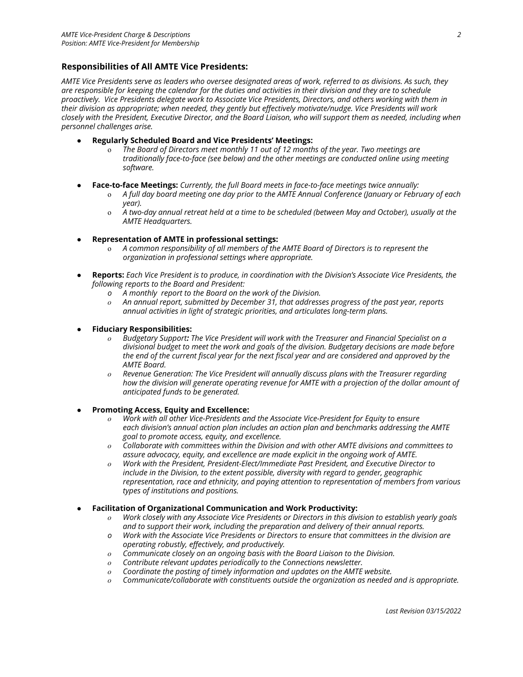### **Responsibilities of All AMTE Vice Presidents:**

*AMTE Vice Presidents serve as leaders who oversee designated areas of work, referred to as divisions. As such, they are responsible for keeping the calendar for the duties and activities in their division and they are to schedule proactively. Vice Presidents delegate work to Associate Vice Presidents, Directors, and others working with them in their division as appropriate; when needed, they gently but effectively motivate/nudge. Vice Presidents will work closely with the President, Executive Director, and the Board Liaison, who will support them as needed, including when personnel challenges arise.*

- **Regularly Scheduled Board and Vice Presidents' Meetings:**
	- o *The Board of Directors meet monthly 11 out of 12 months of the year. Two meetings are traditionally face-to-face (see below) and the other meetings are conducted online using meeting software.*
- **Face-to-face Meetings:** *Currently, the full Board meets in face-to-face meetings twice annually:*
	- o *A full day board meeting one day prior to the AMTE Annual Conference (January or February of each year).*
	- o *A two-day annual retreat held at a time to be scheduled (between May and October), usually at the AMTE Headquarters.*
- **Representation of AMTE in professional settings:**
	- o *A common responsibility of all members of the AMTE Board of Directors is to represent the organization in professional settings where appropriate.*
- *●* **Reports:** *Each Vice President is to produce, in coordination with the Division's Associate Vice Presidents, the following reports to the Board and President:*
	- *o A monthly report to the Board on the work of the Division.*
	- *o An annual report, submitted by December 31, that addresses progress of the past year, reports annual activities in light of strategic priorities, and articulates long-term plans.*
- **Fiduciary Responsibilities:**
	- *o Budgetary Support: The Vice President will work with the Treasurer and Financial Specialist on a divisional budget to meet the work and goals of the division. Budgetary decisions are made before the end of the current fiscal year for the next fiscal year and are considered and approved by the AMTE Board.*
	- *o Revenue Generation: The Vice President will annually discuss plans with the Treasurer regarding how the division will generate operating revenue for AMTE with a projection of the dollar amount of anticipated funds to be generated.*
- *●* **Promoting Access, Equity and Excellence:**
	- Work with all other Vice-Presidents and the Associate Vice-President for Equity to ensure *each division's annual action plan includes an action plan and benchmarks addressing the AMTE goal to promote access, equity, and excellence.*
	- *o Collaborate with committees within the Division and with other AMTE divisions and committees to assure advocacy, equity, and excellence are made explicit in the ongoing work of AMTE.*
	- *o Work with the President, President-Elect/Immediate Past President, and Executive Director to include in the Division, to the extent possible, diversity with regard to gender, geographic representation, race and ethnicity, and paying attention to representation of members from various types of institutions and positions.*
- *●* **Facilitation of Organizational Communication and Work Productivity:**
	- *o Work closely with any Associate Vice Presidents or Directors in this division to establish yearly goals and to support their work, including the preparation and delivery of their annual reports.*
	- *o Work with the Associate Vice Presidents or Directors to ensure that committees in the division are operating robustly, effectively, and productively.*
	- *o Communicate closely on an ongoing basis with the Board Liaison to the Division.*
	- *o Contribute relevant updates periodically to the Connections newsletter.*
	- *o Coordinate the posting of timely information and updates on the AMTE website.*
	- *o Communicate/collaborate with constituents outside the organization as needed and is appropriate.*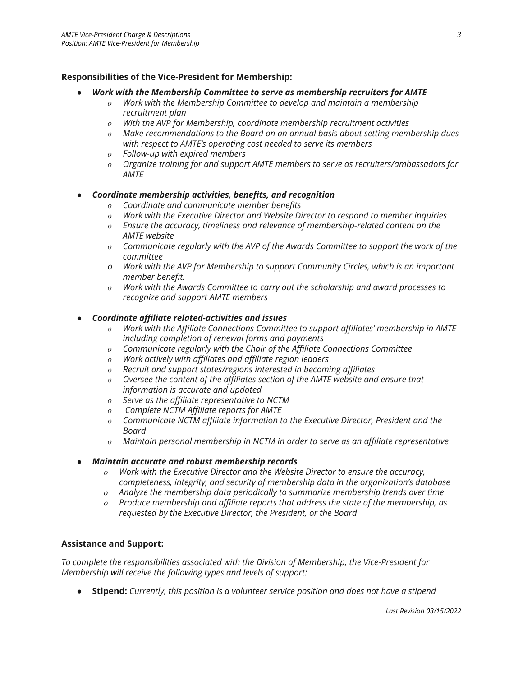# **Responsibilities of the Vice-President for Membership:**

# *● Work with the Membership Committee to serve as membership recruiters for AMTE*

- *o Work with the Membership Committee to develop and maintain a membership recruitment plan*
- *o With the AVP for Membership, coordinate membership recruitment activities*
- *o Make recommendations to the Board on an annual basis about setting membership dues with respect to AMTE's operating cost needed to serve its members*
- *o Follow-up with expired members*
- *o Organize training for and support AMTE members to serve as recruiters/ambassadors for AMTE*

# *● Coordinate membership activities, benefits, and recognition*

- *o Coordinate and communicate member benefits*
- *o Work with the Executive Director and Website Director to respond to member inquiries*
- *o Ensure the accuracy, timeliness and relevance of membership-related content on the AMTE website*
- *o Communicate regularly with the AVP of the Awards Committee to support the work of the committee*
- *o Work with the AVP for Membership to support Community Circles, which is an important member benefit.*
- *o Work with the Awards Committee to carry out the scholarship and award processes to recognize and support AMTE members*

# *● Coordinate affiliate related-activities and issues*

- *o Work with the Affiliate Connections Committee to support affiliates' membership in AMTE including completion of renewal forms and payments*
- *o Communicate regularly with the Chair of the Affiliate Connections Committee*
- *o Work actively with affiliates and affiliate region leaders*
- *o Recruit and support states/regions interested in becoming affiliates*
- *o Oversee the content of the affiliates section of the AMTE website and ensure that information is accurate and updated*
- *o Serve as the affiliate representative to NCTM*
- *o Complete NCTM Affiliate reports for AMTE*
- *o Communicate NCTM affiliate information to the Executive Director, President and the Board*
- *o Maintain personal membership in NCTM in order to serve as an affiliate representative*

# *● Maintain accurate and robust membership records*

- *o Work with the Executive Director and the Website Director to ensure the accuracy, completeness, integrity, and security of membership data in the organization's database*
- *o Analyze the membership data periodically to summarize membership trends over time*
- *o Produce membership and affiliate reports that address the state of the membership, as requested by the Executive Director, the President, or the Board*

# **Assistance and Support:**

*To complete the responsibilities associated with the Division of Membership, the Vice-President for Membership will receive the following types and levels of support:*

● **Stipend:** *Currently, this position is a volunteer service position and does not have a stipend*